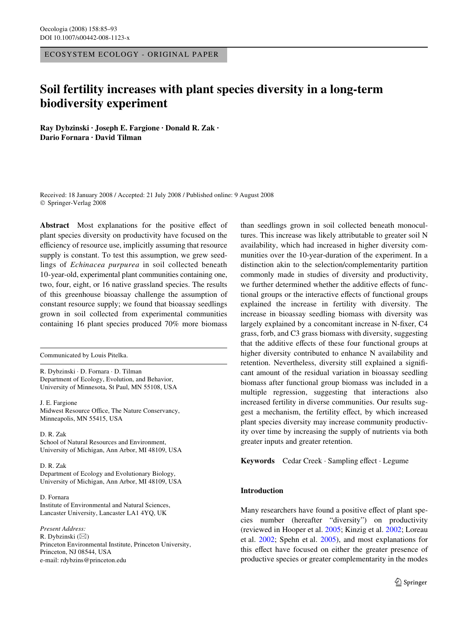ECOSYSTEM ECOLOGY - ORIGINAL PAPER

# **Soil fertility increases with plant species diversity in a long-term biodiversity experiment**

**Ray Dybzinski · Joseph E. Fargione · Donald R. Zak · Dario Fornara · David Tilman** 

Received: 18 January 2008 / Accepted: 21 July 2008 / Published online: 9 August 2008 © Springer-Verlag 2008

Abstract Most explanations for the positive effect of plant species diversity on productivity have focused on the efficiency of resource use, implicitly assuming that resource supply is constant. To test this assumption, we grew seedlings of *Echinacea purpurea* in soil collected beneath 10-year-old, experimental plant communities containing one, two, four, eight, or 16 native grassland species. The results of this greenhouse bioassay challenge the assumption of constant resource supply; we found that bioassay seedlings grown in soil collected from experimental communities containing 16 plant species produced 70% more biomass

Communicated by Louis Pitelka.

R. Dybzinski · D. Fornara · D. Tilman Department of Ecology, Evolution, and Behavior, University of Minnesota, St Paul, MN 55108, USA

J. E. Fargione Midwest Resource Office, The Nature Conservancy, Minneapolis, MN 55415, USA

D. R. Zak School of Natural Resources and Environment, University of Michigan, Ann Arbor, MI 48109, USA

D. R. Zak Department of Ecology and Evolutionary Biology, University of Michigan, Ann Arbor, MI 48109, USA

D. Fornara Institute of Environmental and Natural Sciences, Lancaster University, Lancaster LA1 4YQ, UK

*Present Address:* R. Dybzinski (&) Princeton Environmental Institute, Princeton University, Princeton, NJ 08544, USA e-mail: rdybzins@princeton.edu

than seedlings grown in soil collected beneath monocultures. This increase was likely attributable to greater soil N availability, which had increased in higher diversity communities over the 10-year-duration of the experiment. In a distinction akin to the selection/complementarity partition commonly made in studies of diversity and productivity, we further determined whether the additive effects of functional groups or the interactive effects of functional groups explained the increase in fertility with diversity. The increase in bioassay seedling biomass with diversity was largely explained by a concomitant increase in N-fixer, C4 grass, forb, and C3 grass biomass with diversity, suggesting that the additive effects of these four functional groups at higher diversity contributed to enhance N availability and retention. Nevertheless, diversity still explained a significant amount of the residual variation in bioassay seedling biomass after functional group biomass was included in a multiple regression, suggesting that interactions also increased fertility in diverse communities. Our results suggest a mechanism, the fertility effect, by which increased plant species diversity may increase community productivity over time by increasing the supply of nutrients via both greater inputs and greater retention.

Keywords Cedar Creek · Sampling effect · Legume

# **Introduction**

Many researchers have found a positive effect of plant species number (hereafter "diversity") on productivity (reviewed in Hooper et al. [2005;](#page-8-0) Kinzig et al. [2002;](#page-8-1) Loreau et al. [2002](#page-8-2); Spehn et al. [2005\)](#page-8-3), and most explanations for this effect have focused on either the greater presence of productive species or greater complementarity in the modes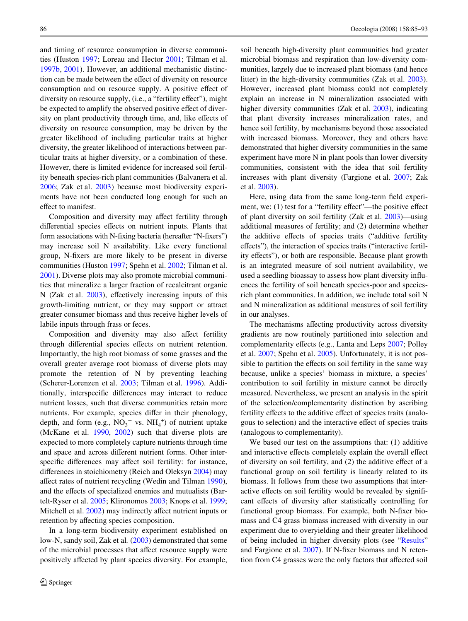and timing of resource consumption in diverse communities (Huston [1997](#page-8-4); Loreau and Hector [2001;](#page-8-5) Tilman et al. [1997b](#page-8-6), [2001\)](#page-8-7). However, an additional mechanistic distinction can be made between the effect of diversity on resource consumption and on resource supply. A positive effect of diversity on resource supply, (i.e., a "fertility effect"), might be expected to amplify the observed positive effect of diversity on plant productivity through time, and, like effects of diversity on resource consumption, may be driven by the greater likelihood of including particular traits at higher diversity, the greater likelihood of interactions between particular traits at higher diversity, or a combination of these. However, there is limited evidence for increased soil fertility beneath species-rich plant communities (Balvanera et al. [2006](#page-7-0); Zak et al. [2003\)](#page-8-8) because most biodiversity experiments have not been conducted long enough for such an effect to manifest.

Composition and diversity may affect fertility through differential species effects on nutrient inputs. Plants that form associations with N-fixing bacteria (hereafter "N-fixers") may increase soil N availability. Like every functional group, N-fixers are more likely to be present in diverse communities (Huston [1997](#page-8-4); Spehn et al. [2002;](#page-8-9) Tilman et al. [2001](#page-8-7)). Diverse plots may also promote microbial communities that mineralize a larger fraction of recalcitrant organic N (Zak et al.  $2003$ ), effectively increasing inputs of this growth-limiting nutrient, or they may support or attract greater consumer biomass and thus receive higher levels of labile inputs through frass or feces.

Composition and diversity may also affect fertility through differential species effects on nutrient retention. Importantly, the high root biomass of some grasses and the overall greater average root biomass of diverse plots may promote the retention of N by preventing leaching (Scherer-Lorenzen et al. [2003](#page-8-10); Tilman et al. [1996](#page-8-11)). Additionally, interspecific differences may interact to reduce nutrient losses, such that diverse communities retain more nutrients. For example, species differ in their phenology, depth, and form  $(e.g., NO<sub>3</sub><sup>-</sup> vs. NH<sub>4</sub><sup>+</sup>)$  of nutrient uptake (McKane et al. [1990](#page-8-12), [2002](#page-8-13)) such that diverse plots are expected to more completely capture nutrients through time and space and across different nutrient forms. Other interspecific differences may affect soil fertility: for instance, differences in stoichiometry (Reich and Oleksyn [2004](#page-8-14)) may affect rates of nutrient recycling (Wedin and Tilman [1990](#page-8-15)), and the effects of specialized enemies and mutualists (Bartelt-Ryser et al. [2005;](#page-7-1) Klironomos [2003](#page-8-16); Knops et al. [1999](#page-8-17); Mitchell et al. [2002](#page-8-18)) may indirectly affect nutrient inputs or retention by affecting species composition.

In a long-term biodiversity experiment established on low-N, sandy soil, Zak et al*.* [\(2003\)](#page-8-8) demonstrated that some of the microbial processes that affect resource supply were positively affected by plant species diversity. For example,

soil beneath high-diversity plant communities had greater microbial biomass and respiration than low-diversity communities, largely due to increased plant biomass (and hence litter) in the high-diversity communities (Zak et al. [2003](#page-8-8)). However, increased plant biomass could not completely explain an increase in N mineralization associated with higher diversity communities (Zak et al. [2003\)](#page-8-8), indicating that plant diversity increases mineralization rates, and hence soil fertility, by mechanisms beyond those associated with increased biomass. Moreover, they and others have demonstrated that higher diversity communities in the same experiment have more N in plant pools than lower diversity communities, consistent with the idea that soil fertility increases with plant diversity (Fargione et al. [2007](#page-8-19); Zak et al. [2003](#page-8-8)).

Here, using data from the same long-term field experiment, we:  $(1)$  test for a "fertility effect"—the positive effect of plant diversity on soil fertility (Zak et al. [2003](#page-8-8))—using additional measures of fertility; and (2) determine whether the additive effects of species traits ("additive fertility effects"), the interaction of species traits ("interactive fertility effects"), or both are responsible. Because plant growth is an integrated measure of soil nutrient availability, we used a seedling bioassay to assess how plant diversity influences the fertility of soil beneath species-poor and speciesrich plant communities. In addition, we include total soil N and N mineralization as additional measures of soil fertility in our analyses.

The mechanisms affecting productivity across diversity gradients are now routinely partitioned into selection and complementarity effects (e.g., Lanta and Leps [2007](#page-8-20); Polley et al. [2007](#page-8-21); Spehn et al. [2005\)](#page-8-3). Unfortunately, it is not possible to partition the effects on soil fertility in the same way because, unlike a species' biomass in mixture, a species' contribution to soil fertility in mixture cannot be directly measured. Nevertheless, we present an analysis in the spirit of the selection/complementarity distinction by ascribing fertility effects to the additive effect of species traits (analogous to selection) and the interactive effect of species traits (analogous to complementarity).

We based our test on the assumptions that: (1) additive and interactive effects completely explain the overall effect of diversity on soil fertility, and (2) the additive effect of a functional group on soil fertility is linearly related to its biomass. It follows from these two assumptions that interactive effects on soil fertility would be revealed by significant effects of diversity after statistically controlling for functional group biomass. For example, both N-fixer biomass and C4 grass biomass increased with diversity in our experiment due to overyielding and their greater likelihood of being included in higher diversity plots (see ["Results"](#page-3-0) and Fargione et al.  $2007$ ). If N-fixer biomass and N retention from C4 grasses were the only factors that affected soil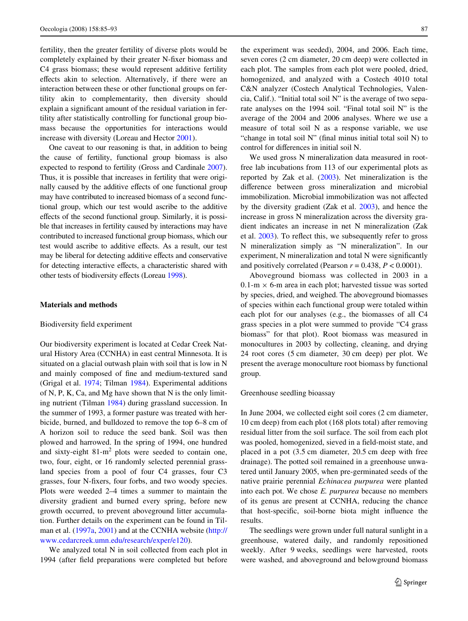fertility, then the greater fertility of diverse plots would be completely explained by their greater N-fixer biomass and C4 grass biomass; these would represent additive fertility effects akin to selection. Alternatively, if there were an interaction between these or other functional groups on fertility akin to complementarity, then diversity should explain a significant amount of the residual variation in fertility after statistically controlling for functional group biomass because the opportunities for interactions would increase with diversity (Loreau and Hector [2001\)](#page-8-5).

One caveat to our reasoning is that, in addition to being the cause of fertility, functional group biomass is also expected to respond to fertility (Gross and Cardinale [2007\)](#page-8-22). Thus, it is possible that increases in fertility that were originally caused by the additive effects of one functional group may have contributed to increased biomass of a second functional group, which our test would ascribe to the additive effects of the second functional group. Similarly, it is possible that increases in fertility caused by interactions may have contributed to increased functional group biomass, which our test would ascribe to additive effects. As a result, our test may be liberal for detecting additive effects and conservative for detecting interactive effects, a characteristic shared with other tests of biodiversity effects (Loreau [1998](#page-8-23)).

### **Materials and methods**

## Biodiversity field experiment

Our biodiversity experiment is located at Cedar Creek Natural History Area (CCNHA) in east central Minnesota. It is situated on a glacial outwash plain with soil that is low in N and mainly composed of fine and medium-textured sand (Grigal et al. [1974;](#page-8-24) Tilman [1984\)](#page-8-25). Experimental additions of N, P, K, Ca, and Mg have shown that N is the only limiting nutrient (Tilman [1984](#page-8-25)) during grassland succession. In the summer of 1993, a former pasture was treated with herbicide, burned, and bulldozed to remove the top 6–8 cm of A horizon soil to reduce the seed bank. Soil was then plowed and harrowed. In the spring of 1994, one hundred and sixty-eight  $81-m^2$  plots were seeded to contain one, two, four, eight, or 16 randomly selected perennial grassland species from a pool of four C4 grasses, four C3 grasses, four N-fixers, four forbs, and two woody species. Plots were weeded 2–4 times a summer to maintain the diversity gradient and burned every spring, before new growth occurred, to prevent aboveground litter accumulation. Further details on the experiment can be found in Tilman et al. ([1997a](#page-8-26), [2001](#page-8-7)) and at the CCNHA website [\(http://](http://www.cedarcreek.umn.edu/research/exper/e120) [www.cedarcreek.umn.edu/research/exper/e120\)](http://www.cedarcreek.umn.edu/research/exper/e120).

We analyzed total N in soil collected from each plot in 1994 (after field preparations were completed but before the experiment was seeded), 2004, and 2006. Each time, seven cores (2 cm diameter, 20 cm deep) were collected in each plot. The samples from each plot were pooled, dried, homogenized, and analyzed with a Costech 4010 total C&N analyzer (Costech Analytical Technologies, Valencia, Calif.). "Initial total soil N" is the average of two separate analyses on the 1994 soil. "Final total soil N" is the average of the 2004 and 2006 analyses. Where we use a measure of total soil N as a response variable, we use "change in total soil  $N$ " (final minus initial total soil  $N$ ) to control for differences in initial soil N.

We used gross N mineralization data measured in rootfree lab incubations from 113 of our experimental plots as reported by Zak et al. ([2003\)](#page-8-8). Net mineralization is the difference between gross mineralization and microbial immobilization. Microbial immobilization was not affected by the diversity gradient (Zak et al. [2003](#page-8-8)), and hence the increase in gross N mineralization across the diversity gradient indicates an increase in net N mineralization (Zak et al.  $2003$ ). To reflect this, we subsequently refer to gross N mineralization simply as "N mineralization". In our experiment,  $N$  mineralization and total  $N$  were significantly and positively correlated (Pearson  $r = 0.438$ ,  $P < 0.0001$ ).

Aboveground biomass was collected in 2003 in a  $0.1-m \times 6$ -m area in each plot; harvested tissue was sorted by species, dried, and weighed. The aboveground biomasses of species within each functional group were totaled within each plot for our analyses (e.g., the biomasses of all C4 grass species in a plot were summed to provide "C4 grass biomass" for that plot). Root biomass was measured in monocultures in 2003 by collecting, cleaning, and drying 24 root cores (5 cm diameter, 30 cm deep) per plot. We present the average monoculture root biomass by functional group.

## Greenhouse seedling bioassay

In June 2004, we collected eight soil cores (2 cm diameter, 10 cm deep) from each plot (168 plots total) after removing residual litter from the soil surface. The soil from each plot was pooled, homogenized, sieved in a field-moist state, and placed in a pot (3.5 cm diameter, 20.5 cm deep with free drainage). The potted soil remained in a greenhouse unwatered until January 2005, when pre-germinated seeds of the native prairie perennial *Echinacea purpurea* were planted into each pot. We chose *E. purpurea* because no members of its genus are present at CCNHA, reducing the chance that host-specific, soil-borne biota might influence the results.

The seedlings were grown under full natural sunlight in a greenhouse, watered daily, and randomly repositioned weekly. After 9 weeks, seedlings were harvested, roots were washed, and aboveground and belowground biomass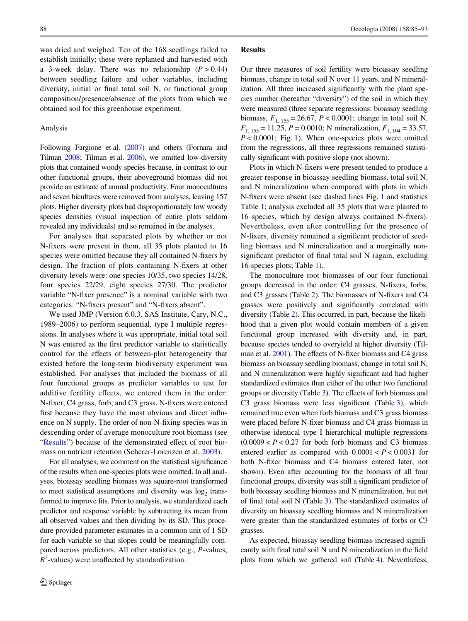was dried and weighed. Ten of the 168 seedlings failed to establish initially; these were replanted and harvested with a 3-week delay. There was no relationship  $(P > 0.44)$ between seedling failure and other variables, including diversity, initial or final total soil N, or functional group composition/presence/absence of the plots from which we obtained soil for this greenhouse experiment.

## Analysis

Following Fargione et al. ([2007\)](#page-8-19) and others (Fornara and Tilman [2008;](#page-8-27) Tilman et al. [2006\)](#page-8-28), we omitted low-diversity plots that contained woody species because, in contrast to our other functional groups, their aboveground biomass did not provide an estimate of annual productivity. Four monocultures and seven bicultures were removed from analyses, leaving 157 plots. Higher diversity plots had disproportionately low woody species densities (visual inspection of entire plots seldom revealed any individuals) and so remained in the analyses.

For analyses that separated plots by whether or not N-fixers were present in them, all 35 plots planted to 16 species were omitted because they all contained N-fixers by design. The fraction of plots containing N-fixers at other diversity levels were: one species 10/35, two species 14/28, four species 22/29, eight species 27/30. The predictor variable "N-fixer presence" is a nominal variable with two categories: "N-fixers present" and "N-fixers absent".

We used JMP (Version 6.0.3. SAS Institute, Cary, N.C., 1989–2006) to perform sequential, type I multiple regressions. In analyses where it was appropriate, initial total soil N was entered as the first predictor variable to statistically control for the effects of between-plot heterogeneity that existed before the long-term biodiversity experiment was established. For analyses that included the biomass of all four functional groups as predictor variables to test for additive fertility effects, we entered them in the order: N-fixer, C4 grass, forb, and C3 grass. N-fixers were entered first because they have the most obvious and direct influence on N supply. The order of non-N-fixing species was in descending order of average monoculture root biomass (see ["Results"](#page-3-0)) because of the demonstrated effect of root biomass on nutrient retention (Scherer-Lorenzen et al. [2003\)](#page-8-10).

For all analyses, we comment on the statistical significance of the results when one-species plots were omitted. In all analyses, bioassay seedling biomass was square-root transformed to meet statistical assumptions and diversity was  $log<sub>2</sub>$  transformed to improve fits. Prior to analysis, we standardized each predictor and response variable by subtracting its mean from all observed values and then dividing by its SD. This procedure provided parameter estimates in a common unit of 1 SD for each variable so that slopes could be meaningfully compared across predictors. All other statistics (e.g., *P*-values,  $R^2$ -values) were unaffected by standardization.

#### <span id="page-3-0"></span>**Results**

Our three measures of soil fertility were bioassay seedling biomass, change in total soil N over 11 years, and N mineralization. All three increased significantly with the plant species number (hereafter "diversity") of the soil in which they were measured (three separate regressions: bioassay seedling biomass,  $F_{1, 155} = 26.67$ ,  $P < 0.0001$ ; change in total soil N,  $F_{1, 155} = 11.25$ ,  $P = 0.0010$ ; *N* mineralization,  $F_{1, 104} = 33.57$ , *P* < 0.0001; Fig. [1](#page-4-0)). When one-species plots were omitted from the regressions, all three regressions remained statistically significant with positive slope (not shown).

Plots in which N-fixers were present tended to produce a greater response in bioassay seedling biomass, total soil N, and N mineralization when compared with plots in which N-fixers were absent (see dashed lines Fig. [1](#page-4-0) and statistics Table [1](#page-5-0); analysis excluded all 35 plots that were planted to 16 species, which by design always contained N-fixers). Nevertheless, even after controlling for the presence of N-fixers, diversity remained a significant predictor of seedling biomass and N mineralization and a marginally nonsignificant predictor of final total soil N (again, excluding 16-species plots; Table [1\)](#page-5-0).

The monoculture root biomasses of our four functional groups decreased in the order: C4 grasses, N-fixers, forbs, and C3 grasses (Table  $2$ ). The biomasses of N-fixers and C4 grasses were positively and significantly correlated with diversity (Table [2](#page-6-0)). This occurred, in part, because the likelihood that a given plot would contain members of a given functional group increased with diversity and, in part, because species tended to overyield at higher diversity (Tilman et al.  $2001$ ). The effects of N-fixer biomass and C4 grass biomass on bioassay seedling biomass, change in total soil N, and N mineralization were highly significant and had higher standardized estimates than either of the other two functional groups or diversity (Table [3](#page-6-1)). The effects of forb biomass and C[3](#page-6-1) grass biomass were less significant (Table  $3$ ), which remained true even when forb biomass and C3 grass biomass were placed before N-fixer biomass and C4 grass biomass in otherwise identical type I hierarchical multiple regressions  $(0.0009 < P < 0.27$  for both forb biomass and C3 biomass entered earlier as compared with  $0.0001 < P < 0.0031$  for both N-fixer biomass and C4 biomass entered later, not shown). Even after accounting for the biomass of all four functional groups, diversity was still a significant predictor of both bioassay seedling biomass and N mineralization, but not of final total soil N (Table  $3$ ). The standardized estimates of diversity on bioassay seedling biomass and N mineralization were greater than the standardized estimates of forbs or C3 grasses.

As expected, bioassay seedling biomass increased significantly with final total soil  $N$  and  $N$  mineralization in the field plots from which we gathered soil (Table [4](#page-7-2)). Nevertheless,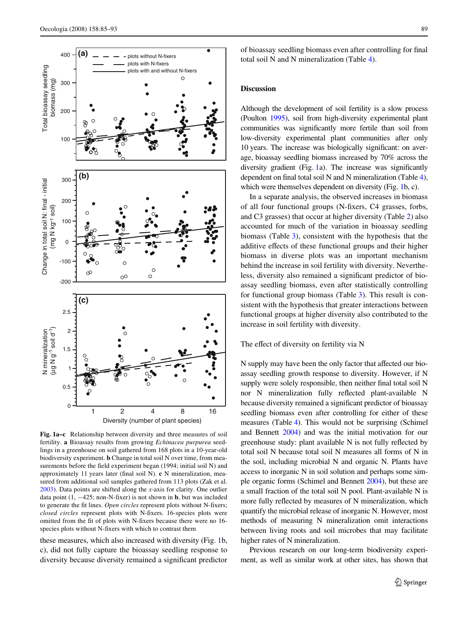

<span id="page-4-0"></span>**Fig. 1a–c** Relationship between diversity and three measures of soil fertility. **a** Bioassay results from growing *Echinacea purpurea* seedlings in a greenhouse on soil gathered from 168 plots in a 10-year-old biodiversity experiment. **b** Change in total soil N over time, from measurements before the field experiment began  $(1994; \text{ initial soil N})$  and approximately 11 years later (final soil N). **c** N mineralization, measured from additional soil samples gathered from 113 plots (Zak et al. [2003](#page-8-8)). Data points are shifted along the *x*-axis for clarity. One outlier data point  $(1, -425; \text{non-N-fixed})$  is not shown in **b**, but was included to generate the fit lines. *Open circles* represent plots without N-fixers; *closed circles* represent plots with N-fixers. 16-species plots were omitted from the fit of plots with N-fixers because there were no 16species plots without N-fixers with which to contrast them

these measures, which also increased with diversity (Fig. [1b](#page-4-0), c), did not fully capture the bioassay seedling response to diversity because diversity remained a significant predictor of bioassay seedling biomass even after controlling for final total soil N and N mineralization (Table [4\)](#page-7-2).

## **Discussion**

Although the development of soil fertility is a slow process (Poulton [1995\)](#page-8-29), soil from high-diversity experimental plant communities was significantly more fertile than soil from low-diversity experimental plant communities after only 10 years. The increase was biologically significant: on average, bioassay seedling biomass increased by 70% across the diversity gradient (Fig.  $1a$  $1a$ ). The increase was significantly dependent on final total soil N and N mineralization (Table [4\)](#page-7-2), which were themselves dependent on diversity (Fig. [1b](#page-4-0), c).

In a separate analysis, the observed increases in biomass of all four functional groups (N-fixers, C4 grasses, forbs, and C3 grasses) that occur at higher diversity (Table [2](#page-6-0)) also accounted for much of the variation in bioassay seedling biomass (Table [3](#page-6-1)), consistent with the hypothesis that the additive effects of these functional groups and their higher biomass in diverse plots was an important mechanism behind the increase in soil fertility with diversity. Nevertheless, diversity also remained a significant predictor of bioassay seedling biomass, even after statistically controlling for functional group biomass (Table [3](#page-6-1)). This result is consistent with the hypothesis that greater interactions between functional groups at higher diversity also contributed to the increase in soil fertility with diversity.

## The effect of diversity on fertility via N

N supply may have been the only factor that affected our bioassay seedling growth response to diversity. However, if N supply were solely responsible, then neither final total soil N nor N mineralization fully reflected plant-available N because diversity remained a significant predictor of bioassay seedling biomass even after controlling for either of these measures (Table [4\)](#page-7-2). This would not be surprising (Schimel and Bennett [2004](#page-8-30)) and was the initial motivation for our greenhouse study: plant available  $N$  is not fully reflected by total soil N because total soil N measures all forms of N in the soil, including microbial N and organic N. Plants have access to inorganic N in soil solution and perhaps some simple organic forms (Schimel and Bennett [2004\)](#page-8-30), but these are a small fraction of the total soil N pool. Plant-available N is more fully reflected by measures of N mineralization, which quantify the microbial release of inorganic N. However, most methods of measuring N mineralization omit interactions between living roots and soil microbes that may facilitate higher rates of N mineralization.

Previous research on our long-term biodiversity experiment, as well as similar work at other sites, has shown that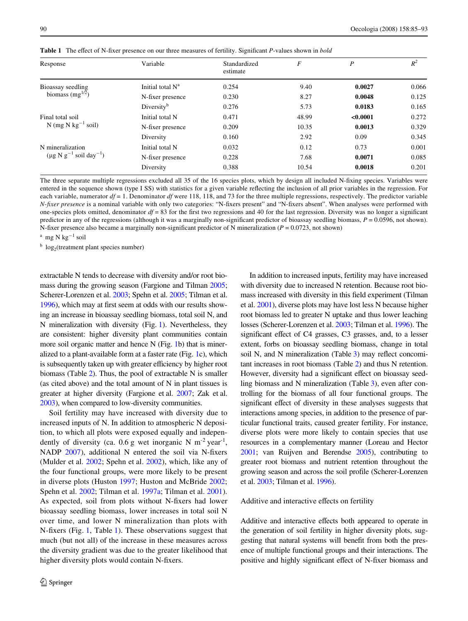| Response                                 | Variable                     | Standardized<br>estimate | F     | P        | $R^2$ |
|------------------------------------------|------------------------------|--------------------------|-------|----------|-------|
| Bioassay seedling                        | Initial total N <sup>a</sup> | 0.254                    | 9.40  | 0.0027   | 0.066 |
| biomass $(mg^{1/2})$                     | N-fixer presence             | 0.230                    | 8.27  | 0.0048   | 0.125 |
|                                          | Diversity <sup>b</sup>       | 0.276                    | 5.73  | 0.0183   | 0.165 |
| Final total soil                         | Initial total N              | 0.471                    | 48.99 | < 0.0001 | 0.272 |
| $N$ (mg $N$ kg <sup>-1</sup> soil)       | N-fixer presence             | 0.209                    | 10.35 | 0.0013   | 0.329 |
|                                          | 2.92<br>0.160<br>Diversity   | 0.09                     | 0.345 |          |       |
| N mineralization                         | Initial total N              | 0.032                    | 0.12  | 0.73     | 0.001 |
| $(\mu g N g^{-1} \text{ soil day}^{-1})$ | N-fixer presence             | 0.228                    | 7.68  | 0.0071   | 0.085 |
|                                          | Diversity                    | 0.388                    | 10.54 | 0.0018   | 0.201 |

<span id="page-5-0"></span>**Table 1** The effect of N-fixer presence on our three measures of fertility. Significant P-values shown in *bold* 

The three separate multiple regressions excluded all 35 of the 16 species plots, which by design all included N-fixing species. Variables were entered in the sequence shown (type I SS) with statistics for a given variable reflecting the inclusion of all prior variables in the regression. For each variable, numerator  $df = 1$ . Denominator *df* were 118, 118, and 73 for the three multiple regressions, respectively. The predictor variable *N-fixer presence* is a nominal variable with only two categories: "N-fixers present" and "N-fixers absent". When analyses were performed with one-species plots omitted, denominator  $df = 83$  for the first two regressions and 40 for the last regression. Diversity was no longer a significant predictor in any of the regressions (although it was a marginally non-significant predictor of bioassay seedling biomass,  $P = 0.0596$ , not shown). N-fixer presence also became a marginally non-significant predictor of N mineralization ( $P = 0.0723$ , not shown)

 $^{\rm a}$  mg N kg $^{-1}$  soil

 $\frac{b}{2} \log_2$ (treatment plant species number)

extractable N tends to decrease with diversity and/or root biomass during the growing season (Fargione and Tilman [2005;](#page-8-31) Scherer-Lorenzen et al. [2003;](#page-8-10) Spehn et al. [2005](#page-8-3); Tilman et al. [1996](#page-8-11)), which may at first seem at odds with our results showing an increase in bioassay seedling biomass, total soil N, and N mineralization with diversity (Fig. [1\)](#page-4-0). Nevertheless, they are consistent: higher diversity plant communities contain more soil organic matter and hence N (Fig. [1b](#page-4-0)) that is mineralized to a plant-available form at a faster rate (Fig. [1](#page-4-0)c), which is subsequently taken up with greater efficiency by higher root biomass (Table [2\)](#page-6-0). Thus, the pool of extractable N is smaller (as cited above) and the total amount of N in plant tissues is greater at higher diversity (Fargione et al. [2007](#page-8-19); Zak et al. [2003](#page-8-8)), when compared to low-diversity communities.

Soil fertility may have increased with diversity due to increased inputs of N. In addition to atmospheric N deposition, to which all plots were exposed equally and independently of diversity (ca. 0.6 g wet inorganic N  $m^{-2}$  year<sup>-1</sup>, NADP [2007\)](#page-8-32), additional N entered the soil via N-fixers (Mulder et al. [2002](#page-8-33); Spehn et al. [2002](#page-8-9)), which, like any of the four functional groups, were more likely to be present in diverse plots (Huston [1997](#page-8-4); Huston and McBride [2002](#page-8-34); Spehn et al. [2002;](#page-8-9) Tilman et al. [1997a](#page-8-26); Tilman et al. [2001](#page-8-7)). As expected, soil from plots without N-fixers had lower bioassay seedling biomass, lower increases in total soil N over time, and lower N mineralization than plots with N-fixers (Fig. [1](#page-5-0), Table 1). These observations suggest that much (but not all) of the increase in these measures across the diversity gradient was due to the greater likelihood that higher diversity plots would contain N-fixers.

In addition to increased inputs, fertility may have increased with diversity due to increased N retention. Because root biomass increased with diversity in this field experiment (Tilman et al. [2001](#page-8-7)), diverse plots may have lost less N because higher root biomass led to greater N uptake and thus lower leaching losses (Scherer-Lorenzen et al. [2003](#page-8-10); Tilman et al. [1996](#page-8-11)). The significant effect of C4 grasses, C3 grasses, and, to a lesser extent, forbs on bioassay seedling biomass, change in total soil N, and N mineralization (Table  $3$ ) may reflect concomitant increases in root biomass (Table [2](#page-6-0)) and thus N retention. However, diversity had a significant effect on bioassay seedling biomass and N mineralization (Table [3\)](#page-6-1), even after controlling for the biomass of all four functional groups. The significant effect of diversity in these analyses suggests that interactions among species, in addition to the presence of particular functional traits, caused greater fertility. For instance, diverse plots were more likely to contain species that use resources in a complementary manner (Loreau and Hector [2001;](#page-8-5) van Ruijven and Berendse [2005](#page-8-35)), contributing to greater root biomass and nutrient retention throughout the growing season and across the soil profile (Scherer-Lorenzen et al. [2003](#page-8-10); Tilman et al. [1996\)](#page-8-11).

## Additive and interactive effects on fertility

Additive and interactive effects both appeared to operate in the generation of soil fertility in higher diversity plots, suggesting that natural systems will benefit from both the presence of multiple functional groups and their interactions. The positive and highly significant effect of N-fixer biomass and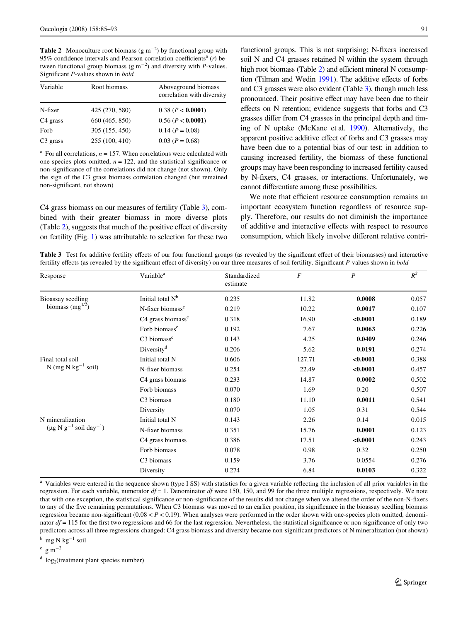<span id="page-6-0"></span>**Table 2** Monoculture root biomass  $(g m^{-2})$  by functional group with 95% confidence intervals and Pearson correlation coefficients<sup>a</sup> (*r*) between functional group biomass  $(g m^{-2})$  and diversity with *P*-values. Significant *P*-values shown in *bold* 

| Variable             | Root biomass   | Aboveground biomass<br>correlation with diversity |
|----------------------|----------------|---------------------------------------------------|
| N-fixer              | 425 (270, 580) | 0.38 (P < 0.0001)                                 |
| C <sub>4</sub> grass | 660 (465, 850) | 0.56 (P <b>0.0001</b> )                           |
| Forb                 | 305 (155, 450) | $0.14 (P = 0.08)$                                 |
| $C3$ grass           | 255 (100, 410) | $0.03 (P = 0.68)$                                 |

<sup>a</sup> For all correlations,  $n = 157$ . When correlations were calculated with one-species plots omitted,  $n = 122$ , and the statistical significance or non-significance of the correlations did not change (not shown). Only the sign of the C3 grass biomass correlation changed (but remained non-significant, not shown)

C4 grass biomass on our measures of fertility (Table [3](#page-6-1)), combined with their greater biomass in more diverse plots (Table  $2$ ), suggests that much of the positive effect of diversity on fertility (Fig. [1](#page-4-0)) was attributable to selection for these two functional groups. This is not surprising; N-fixers increased soil N and C4 grasses retained N within the system through high root biomass (Table [2\)](#page-6-0) and efficient mineral N consump-tion (Tilman and Wedin [1991](#page-8-36)). The additive effects of forbs and C3 grasses were also evident (Table [3\)](#page-6-1), though much less pronounced. Their positive effect may have been due to their effects on  $N$  retention; evidence suggests that forbs and  $C3$ grasses differ from C4 grasses in the principal depth and timing of N uptake (McKane et al. [1990](#page-8-12)). Alternatively, the apparent positive additive effect of forbs and C3 grasses may have been due to a potential bias of our test: in addition to causing increased fertility, the biomass of these functional groups may have been responding to increased fertility caused by N-fixers, C4 grasses, or interactions. Unfortunately, we cannot differentiate among these possibilities.

We note that efficient resource consumption remains an important ecosystem function regardless of resource supply. Therefore, our results do not diminish the importance of additive and interactive effects with respect to resource consumption, which likely involve different relative contri-

<span id="page-6-1"></span>**Table 3** Test for additive fertility effects of our functional groups (as revealed by the significant effect of their biomasses) and interactive fertility effects (as revealed by the significant effect of diversity) on our three measures of soil fertility. Significant *P*-values shown in *bold* 

| Response                                                     | Variable <sup>a</sup>           | Standardized<br>estimate | $\cal F$ | $\boldsymbol{P}$ | $R^2$ |
|--------------------------------------------------------------|---------------------------------|--------------------------|----------|------------------|-------|
| Bioassay seedling<br>biomass $(mg^{1/2})$                    | Initial total N <sup>b</sup>    | 0.235                    | 11.82    | 0.0008           | 0.057 |
|                                                              | N-fixer biomass <sup>c</sup>    | 0.219                    | 10.22    | 0.0017           | 0.107 |
|                                                              | $C4$ grass biomass <sup>c</sup> | 0.318                    | 16.90    | < 0.0001         | 0.189 |
|                                                              | Forb biomass <sup>c</sup>       | 0.192                    | 7.67     | 0.0063           | 0.226 |
|                                                              | $C3$ biomass <sup>c</sup>       | 0.143                    | 4.25     | 0.0409           | 0.246 |
|                                                              | Diversity <sup>d</sup>          | 0.206                    | 5.62     | 0.0191           | 0.274 |
| Final total soil                                             | Initial total N                 | 0.606                    | 127.71   | < 0.0001         | 0.388 |
| N (mg N $kg^{-1}$ soil)                                      | N-fixer biomass                 | 0.254                    | 22.49    | < 0.0001         | 0.457 |
|                                                              | C4 grass biomass                | 0.233                    | 14.87    | 0.0002           | 0.502 |
|                                                              | Forb biomass                    | 0.070                    | 1.69     | 0.20             | 0.507 |
|                                                              | C <sub>3</sub> biomass          | 0.180                    | 11.10    | 0.0011           | 0.541 |
|                                                              | Diversity                       | 0.070                    | 1.05     | 0.31             | 0.544 |
| N mineralization<br>$(\mu g N g^{-1} \text{ soil day}^{-1})$ | Initial total N                 | 0.143                    | 2.26     | 0.14             | 0.015 |
|                                                              | N-fixer biomass                 | 0.351                    | 15.76    | 0.0001           | 0.123 |
|                                                              | C4 grass biomass                | 0.386                    | 17.51    | < 0.0001         | 0.243 |
|                                                              | Forb biomass                    | 0.078                    | 0.98     | 0.32             | 0.250 |
|                                                              | C <sub>3</sub> biomass          | 0.159                    | 3.76     | 0.0554           | 0.276 |
|                                                              | Diversity                       | 0.274                    | 6.84     | 0.0103           | 0.322 |
|                                                              |                                 |                          |          |                  |       |

<sup>a</sup> Variables were entered in the sequence shown (type I SS) with statistics for a given variable reflecting the inclusion of all prior variables in the regression. For each variable, numerator  $df = 1$ . Denominator  $df$  were 150, 150, and 99 for the three multiple regressions, respectively. We note that with one exception, the statistical significance or non-significance of the results did not change when we altered the order of the non-N-fixers to any of the five remaining permutations. When C3 biomass was moved to an earlier position, its significance in the bioassay seedling biomass regression became non-significant  $(0.08 < P < 0.19)$ . When analyses were performed in the order shown with one-species plots omitted, denominator  $df = 115$  for the first two regressions and 66 for the last regression. Nevertheless, the statistical significance or non-significance of only two predictors across all three regressions changed: C4 grass biomass and diversity became non-significant predictors of N mineralization (not shown)

 $^{\rm b}$  mg N kg $^{-1}$  soil

 $\rm c~g~m^{-2}$ 

 $d \log_2$ (treatment plant species number)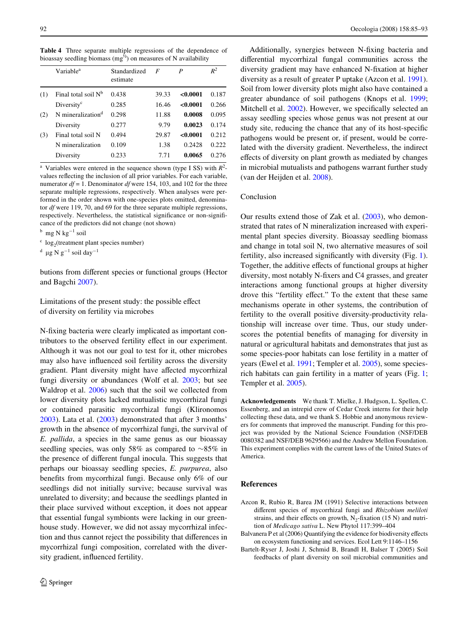|     | Variable <sup>a</sup>         | Standardized<br>estimate | F     | P        | $R^2$ |
|-----|-------------------------------|--------------------------|-------|----------|-------|
| (1) | Final total soil $N^b$        | 0.438                    | 39.33 | < 0.0001 | 0.187 |
|     | Diversity <sup>c</sup>        | 0.285                    | 16.46 | < 0.0001 | 0.266 |
| (2) | N mineralization <sup>d</sup> | 0.298                    | 11.88 | 0.0008   | 0.095 |
|     | Diversity                     | 0.277                    | 9.79  | 0.0023   | 0.174 |
| (3) | Final total soil N            | 0.494                    | 29.87 | < 0.0001 | 0.212 |
|     | N mineralization              | 0.109                    | 1.38  | 0.2428   | 0.222 |
|     | Diversity                     | 0.233                    | 7.71  | 0.0065   | 0.276 |
|     |                               |                          |       |          |       |

<span id="page-7-2"></span>**Table 4** Three separate multiple regressions of the dependence of bioassay seedling biomass (mg<sup> $\frac{1}{2}$ </sup>) on measures of N availability

<sup>a</sup> Variables were entered in the sequence shown (type I SS) with  $R^2$ values reflecting the inclusion of all prior variables. For each variable, numerator  $df = 1$ . Denominator  $df$  were 154, 103, and 102 for the three separate multiple regressions, respectively. When analyses were performed in the order shown with one-species plots omitted, denominator *df* were 119, 70, and 69 for the three separate multiple regressions, respectively. Nevertheless, the statistical significance or non-significance of the predictors did not change (not shown)

 $^{\rm b}$  mg N kg $^{-1}$  soil

 $\frac{c}{2}$  log<sub>2</sub>(treatment plant species number)

 $^d$  µg N g<sup>-1</sup> soil day<sup>-1</sup>

butions from different species or functional groups (Hector and Bagchi [2007\)](#page-8-37).

Limitations of the present study: the possible effect of diversity on fertility via microbes

N-fixing bacteria were clearly implicated as important contributors to the observed fertility effect in our experiment. Although it was not our goal to test for it, other microbes may also have influenced soil fertility across the diversity gradient. Plant diversity might have affected mycorrhizal fungi diversity or abundances (Wolf et al. [2003;](#page-8-38) but see Waldrop et al. [2006\)](#page-8-39) such that the soil we collected from lower diversity plots lacked mutualistic mycorrhizal fungi or contained parasitic mycorrhizal fungi (Klironomos [2003](#page-8-16)). Lata et al. [\(2003](#page-8-40)) demonstrated that after 3 months' growth in the absence of mycorrhizal fungi, the survival of *E. pallida*, a species in the same genus as our bioassay seedling species, was only 58% as compared to  $\sim 85\%$  in the presence of different fungal inocula. This suggests that perhaps our bioassay seedling species, *E. purpurea*, also benefits from mycorrhizal fungi. Because only 6% of our seedlings did not initially survive; because survival was unrelated to diversity; and because the seedlings planted in their place survived without exception, it does not appear that essential fungal symbionts were lacking in our greenhouse study. However, we did not assay mycorrhizal infection and thus cannot reject the possibility that differences in mycorrhizal fungi composition, correlated with the diversity gradient, influenced fertility.

Additionally, synergies between N-fixing bacteria and differential mycorrhizal fungal communities across the diversity gradient may have enhanced N-fixation at higher diversity as a result of greater P uptake (Azcon et al. [1991](#page-7-3)). Soil from lower diversity plots might also have contained a greater abundance of soil pathogens (Knops et al. [1999;](#page-8-17) Mitchell et al. [2002](#page-8-18)). However, we specifically selected an assay seedling species whose genus was not present at our study site, reducing the chance that any of its host-specific pathogens would be present or, if present, would be correlated with the diversity gradient. Nevertheless, the indirect effects of diversity on plant growth as mediated by changes in microbial mutualists and pathogens warrant further study (van der Heijden et al. [2008\)](#page-8-41).

# Conclusion

Our results extend those of Zak et al. [\(2003](#page-8-8)), who demonstrated that rates of N mineralization increased with experimental plant species diversity. Bioassay seedling biomass and change in total soil N, two alternative measures of soil fertility, also increased significantly with diversity (Fig. [1](#page-4-0)). Together, the additive effects of functional groups at higher diversity, most notably N-fixers and C4 grasses, and greater interactions among functional groups at higher diversity drove this "fertility effect." To the extent that these same mechanisms operate in other systems, the contribution of fertility to the overall positive diversity-productivity relationship will increase over time. Thus, our study underscores the potential benefits of managing for diversity in natural or agricultural habitats and demonstrates that just as some species-poor habitats can lose fertility in a matter of years (Ewel et al. [1991;](#page-8-42) Templer et al. [2005](#page-8-43)), some speciesrich habitats can gain fertility in a matter of years (Fig. [1;](#page-4-0) Templer et al. [2005](#page-8-43)).

**Acknowledgements** We thank T. Mielke, J. Hudgson, L. Spellen, C. Essenberg, and an intrepid crew of Cedar Creek interns for their help collecting these data, and we thank S. Hobbie and anonymous reviewers for comments that improved the manuscript. Funding for this project was provided by the National Science Foundation (NSF/DEB 0080382 and NSF/DEB 9629566) and the Andrew Mellon Foundation. This experiment complies with the current laws of the United States of America.

## **References**

- <span id="page-7-3"></span>Azcon R, Rubio R, Barea JM (1991) Selective interactions between different species of mycorrhizal fungi and *Rhizobium meliloti* strains, and their effects on growth,  $N_2$ -fixation (15 N) and nutrition of *Medicago sativa* L. New Phytol 117:399–404
- <span id="page-7-0"></span>Balvanera P et al (2006) Quantifying the evidence for biodiversity effects on ecosystem functioning and services. Ecol Lett 9:1146–1156
- <span id="page-7-1"></span>Bartelt-Ryser J, Joshi J, Schmid B, Brandl H, Balser T (2005) Soil feedbacks of plant diversity on soil microbial communities and